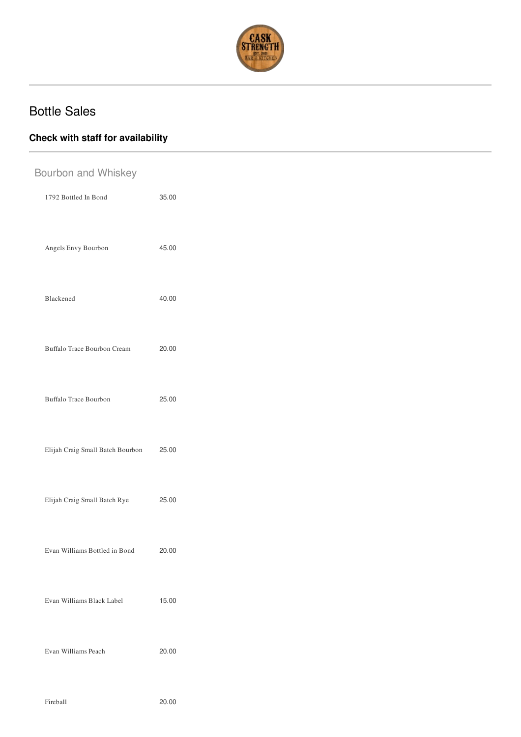

## Bottle Sales

## **Check with staff for availability**

| Bourbon and Whiskey |                                  |       |  |
|---------------------|----------------------------------|-------|--|
|                     | 1792 Bottled In Bond             | 35.00 |  |
|                     | Angels Envy Bourbon              | 45.00 |  |
|                     | Blackened                        | 40.00 |  |
|                     | Buffalo Trace Bourbon Cream      | 20.00 |  |
|                     | Buffalo Trace Bourbon            | 25.00 |  |
|                     | Elijah Craig Small Batch Bourbon | 25.00 |  |
|                     | Elijah Craig Small Batch Rye     | 25.00 |  |
|                     | Evan Williams Bottled in Bond    | 20.00 |  |
|                     | Evan Williams Black Label        | 15.00 |  |
|                     | Evan Williams Peach              | 20.00 |  |
|                     | Fireball                         | 20.00 |  |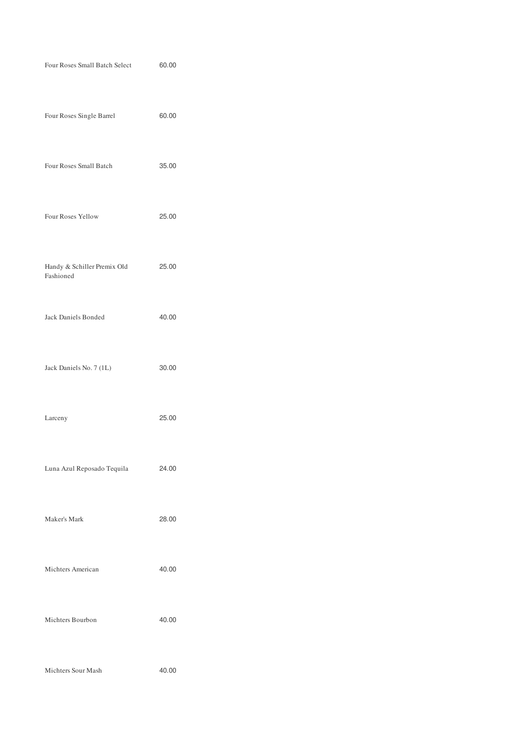| Four Roses Small Batch Select            | 60.00 |
|------------------------------------------|-------|
| Four Roses Single Barrel                 | 60.00 |
| Four Roses Small Batch                   | 35.00 |
| Four Roses Yellow                        | 25.00 |
| Handy & Schiller Premix Old<br>Fashioned | 25.00 |
| Jack Daniels Bonded                      | 40.00 |
| Jack Daniels No. 7 (1L)                  | 30.00 |
| Larceny                                  | 25.00 |
| Luna Azul Reposado Tequila               | 24.00 |
| Maker's Mark                             | 28.00 |
| Michters American                        | 40.00 |
| Michters Bourbon                         | 40.00 |
| Michters Sour Mash                       | 40.00 |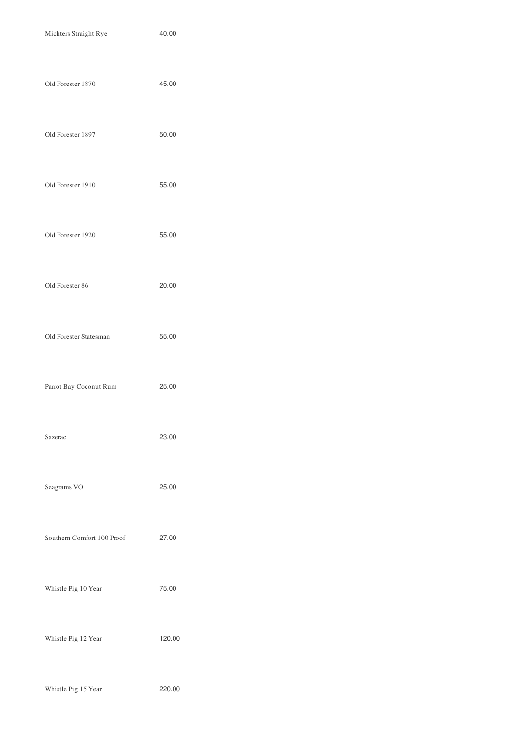| Michters Straight Rye      | 40.00  |
|----------------------------|--------|
| Old Forester 1870          | 45.00  |
| Old Forester 1897          | 50.00  |
| Old Forester 1910          | 55.00  |
| Old Forester 1920          | 55.00  |
| Old Forester 86            | 20.00  |
| Old Forester Statesman     | 55.00  |
| Parrot Bay Coconut Rum     | 25.00  |
| Sazerac                    | 23.00  |
| Seagrams VO                | 25.00  |
| Southern Comfort 100 Proof | 27.00  |
| Whistle Pig 10 Year        | 75.00  |
| Whistle Pig 12 Year        | 120.00 |
| Whistle Pig 15 Year        | 220.00 |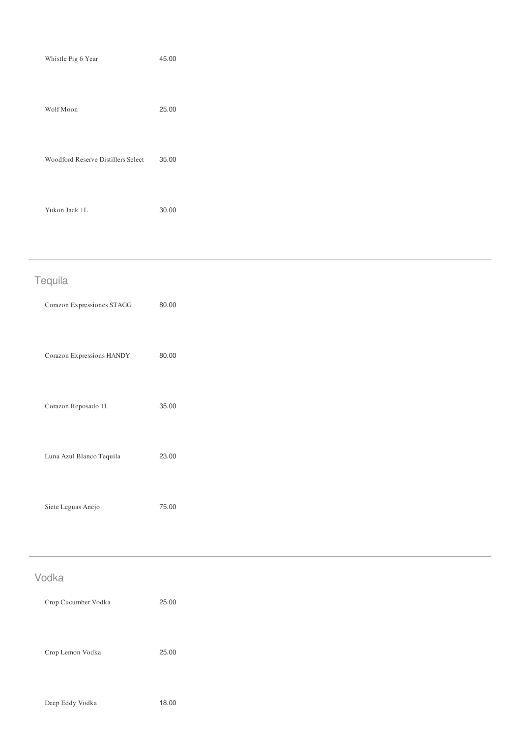| Whistle Pig 6 Year                 | 45.00 |
|------------------------------------|-------|
| Wolf Moon                          | 25.00 |
| Woodford Reserve Distillers Select | 35.00 |
| Yukon Jack 1L                      | 30.00 |

| Tequila                    |       |  |  |
|----------------------------|-------|--|--|
| Corazon Expressiones STAGG | 80.00 |  |  |
| Corazon Expressions HANDY  | 80.00 |  |  |
| Corazon Reposado 1L        | 35.00 |  |  |
| Luna Azul Blanco Tequila   | 23.00 |  |  |
| Siete Leguas Anejo         | 75.00 |  |  |

## Vodka

| Crop Cucumber Vodka | 25.00 |
|---------------------|-------|
| Crop Lemon Vodka    | 25.00 |
|                     |       |